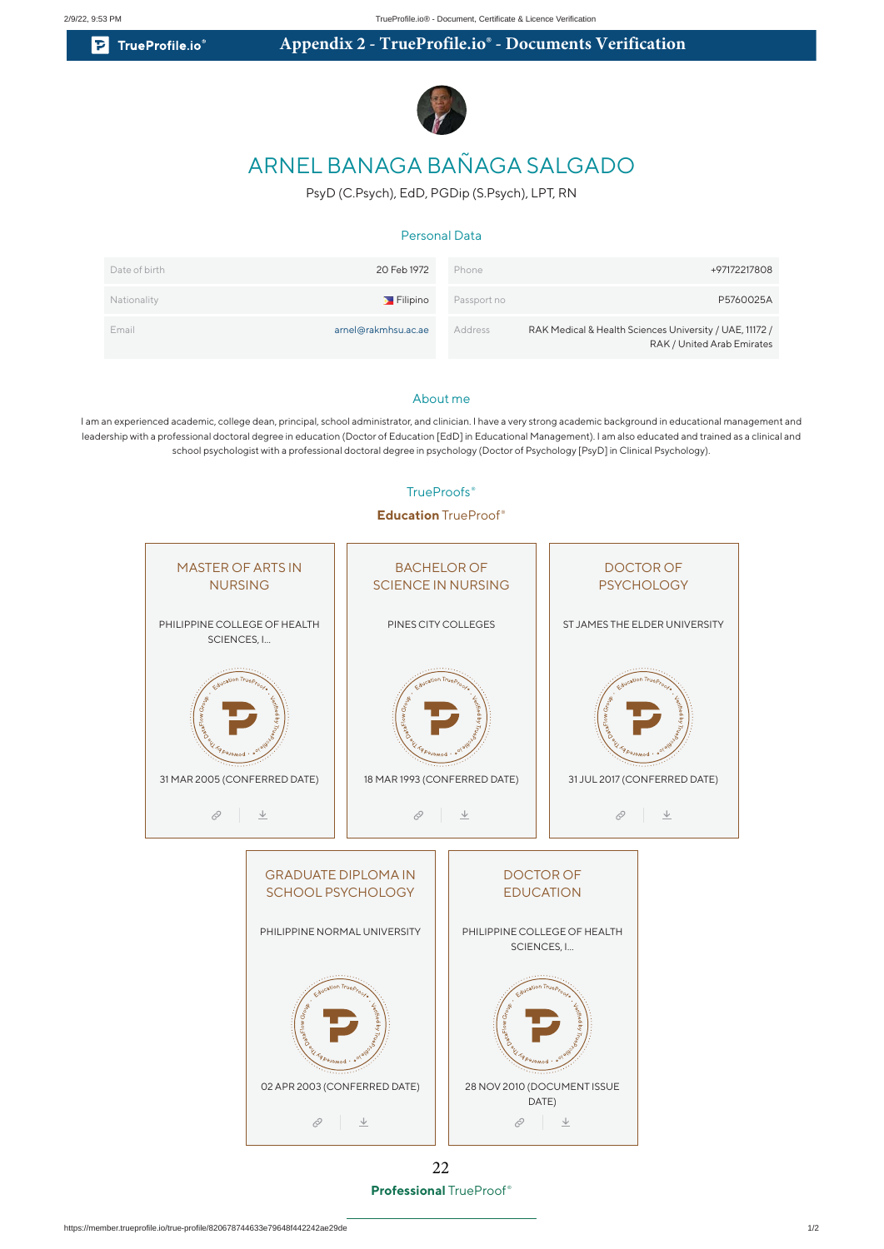**P** TrueProfile.io

# **Appendix 2 - TrueProfile.io® - Documents Verification**



# ARNEL BANAGA BAÑAGA SALGADO

PsyD (C.Psych), EdD, PGDip (S.Psych), LPT, RN

### Personal Data

| Date of birth | 20 Feb 1972         | Phone       | +97172217808                                                                          |
|---------------|---------------------|-------------|---------------------------------------------------------------------------------------|
| Nationality   | Filipino            | Passport no | P5760025A                                                                             |
| Email         | arnel@rakmhsu.ac.ae | Address     | RAK Medical & Health Sciences University / UAE, 11172 /<br>RAK / United Arab Emirates |

#### About me

I am an experienced academic, college dean, principal, school administrator, and clinician. I have a very strong academic background in educational management and leadership with a professional doctoral degree in education (Doctor of Education [EdD] in Educational Management). I am also educated and trained as a clinical and school psychologist with a professional doctoral degree in psychology (Doctor of Psychology [PsyD] in Clinical Psychology).



**Professional** TrueProof ® 22

#### TrueProofs<sup>®</sup>